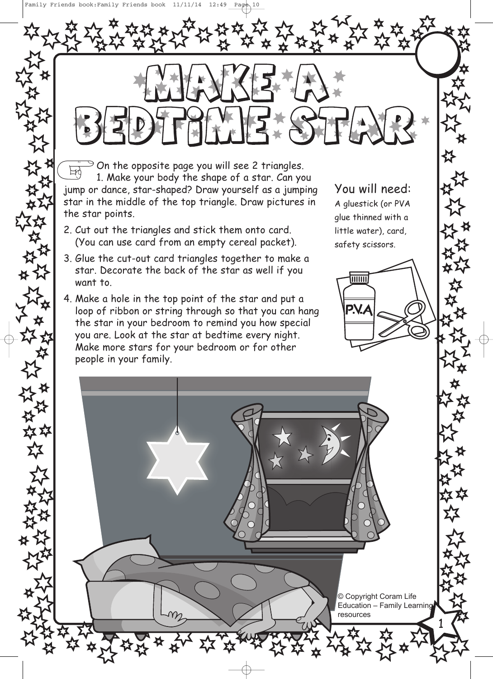$\ge$  On the opposite page you will see 2 triangles.  $\mathbb{F}$ 1. Make your body the shape of a star. Can you jump or dance, star-shaped? Draw yourself as a jumping star in the middle of the top triangle. Draw pictures in the star points.

- 2. Cut out the triangles and stick them onto card. (You can use card from an empty cereal packet).
- 3. Glue the cut-out card triangles together to make a star. Decorate the back of the star as well if you want to.
- 4. Make a hole in the top point of the star and put a loop of ribbon or string through so that you can hang the star in your bedroom to remind you how special you are. Look at the star at bedtime every night. Make more stars for your bedroom or for other people in your family.

You will need: A gluestick (or PVA glue thinned with a little water), card, safety scissors.

 $\overline{\overline{\mathsf{H\hspace{-.1em}H\hspace{-.1em}H\hspace{-.1em}H}}$ 

© Copyright Coram Life Education – Family Learning resources

1